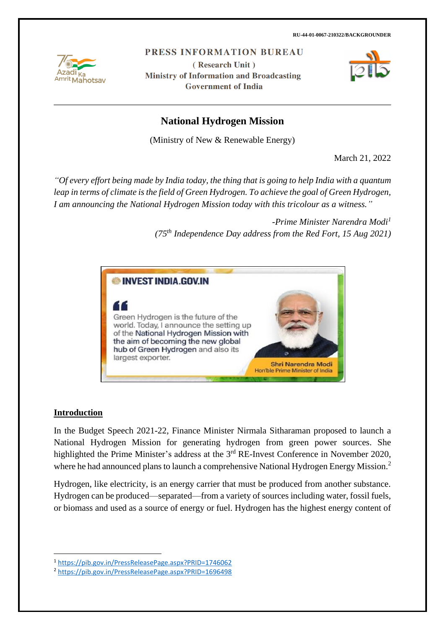

PRESS INFORMATION BUREAU

(Research Unit) **Ministry of Information and Broadcasting Government of India** 



# **National Hydrogen Mission**

(Ministry of New & Renewable Energy)

March 21, 2022

*"Of every effort being made by India today, the thing that is going to help India with a quantum leap in terms of climate is the field of Green Hydrogen. To achieve the goal of Green Hydrogen, I am announcing the National Hydrogen Mission today with this tricolour as a witness."*

> *-Prime Minister Narendra Modi<sup>1</sup> (75th Independence Day address from the Red Fort, 15 Aug 2021)*



#### **Introduction**

In the Budget Speech 2021-22, Finance Minister Nirmala Sitharaman proposed to launch a National Hydrogen Mission for generating hydrogen from green power sources. She highlighted the Prime Minister's address at the 3<sup>rd</sup> RE-Invest Conference in November 2020, where he had announced plans to launch a comprehensive National Hydrogen Energy Mission.<sup>2</sup>

Hydrogen, like electricity, is an energy carrier that must be produced from another substance. Hydrogen can be produced—separated—from a variety of sources including water, fossil fuels, or biomass and used as a source of energy or fuel. Hydrogen has the highest energy content of

<sup>1</sup> <https://pib.gov.in/PressReleasePage.aspx?PRID=1746062>

<sup>2</sup> <https://pib.gov.in/PressReleasePage.aspx?PRID=1696498>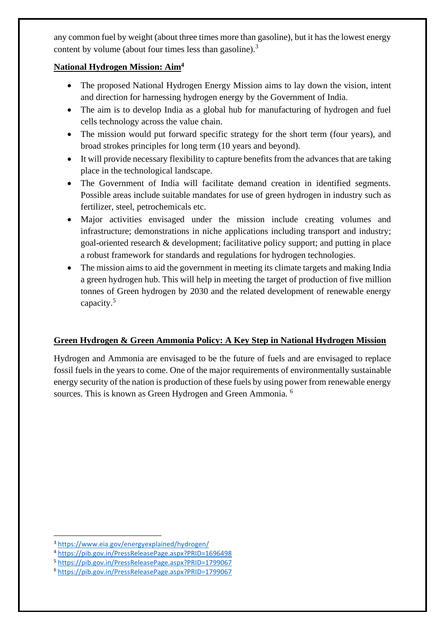any common fuel by weight (about three times more than gasoline), but it has the lowest energy content by volume (about four times less than gasoline).<sup>3</sup>

## **National Hydrogen Mission: Aim<sup>4</sup>**

- The proposed National Hydrogen Energy Mission aims to lay down the vision, intent and direction for harnessing hydrogen energy by the Government of India.
- The aim is to develop India as a global hub for manufacturing of hydrogen and fuel cells technology across the value chain.
- The mission would put forward specific strategy for the short term (four years), and broad strokes principles for long term (10 years and beyond).
- It will provide necessary flexibility to capture benefits from the advances that are taking place in the technological landscape.
- The Government of India will facilitate demand creation in identified segments. Possible areas include suitable mandates for use of green hydrogen in industry such as fertilizer, steel, petrochemicals etc.
- Major activities envisaged under the mission include creating volumes and infrastructure; demonstrations in niche applications including transport and industry; goal-oriented research & development; facilitative policy support; and putting in place a robust framework for standards and regulations for hydrogen technologies.
- The mission aims to aid the government in meeting its climate targets and making India a green hydrogen hub. This will help in meeting the target of production of five million tonnes of Green hydrogen by 2030 and the related development of renewable energy capacity.<sup>5</sup>

## **Green Hydrogen & Green Ammonia Policy: A Key Step in National Hydrogen Mission**

Hydrogen and Ammonia are envisaged to be the future of fuels and are envisaged to replace fossil fuels in the years to come. One of the major requirements of environmentally sustainable energy security of the nation is production of these fuels by using power from renewable energy sources. This is known as Green Hydrogen and Green Ammonia. <sup>6</sup>

<sup>3</sup> <https://www.eia.gov/energyexplained/hydrogen/>

<sup>4</sup> <https://pib.gov.in/PressReleasePage.aspx?PRID=1696498>

<sup>5</sup> <https://pib.gov.in/PressReleasePage.aspx?PRID=1799067>

<sup>6</sup> <https://pib.gov.in/PressReleasePage.aspx?PRID=1799067>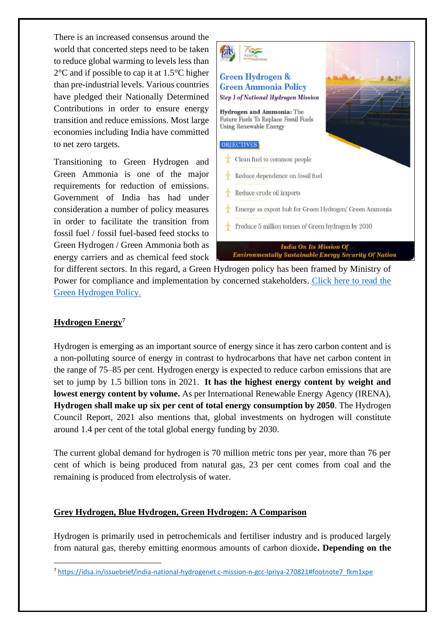There is an increased consensus around the world that concerted steps need to be taken to reduce global warming to levels less than 2°C and if possible to cap it at 1.5°C higher than pre-industrial levels. Various countries have pledged their Nationally Determined Contributions in order to ensure energy transition and reduce emissions. Most large economies including India have committed to net zero targets.

Transitioning to Green Hydrogen and Green Ammonia is one of the major requirements for reduction of emissions. Government of India has had under consideration a number of policy measures in order to facilitate the transition from fossil fuel / fossil fuel-based feed stocks to Green Hydrogen / Green Ammonia both as energy carriers and as chemical feed stock



for different sectors. In this regard, a Green Hydrogen policy has been framed by Ministry of Power for compliance and implementation by concerned stakeholders. [Click here to read the](https://pib.gov.in/PressReleasePage.aspx?PRID=1799067)  [Green Hydrogen Policy.](https://pib.gov.in/PressReleasePage.aspx?PRID=1799067)

## **Hydrogen Energy<sup>7</sup>**

Hydrogen is emerging as an important source of energy since it has zero carbon content and is a non-polluting source of energy in contrast to hydrocarbons that have net carbon content in the range of 75–85 per cent. Hydrogen energy is expected to reduce carbon emissions that are set to jump by 1.5 billion tons in 2021. **It has the highest energy content by weight and lowest energy content by volume.** As per International Renewable Energy Agency (IRENA), **Hydrogen shall make up six per cent of total energy consumption by 2050**. The Hydrogen Council Report, 2021 also mentions that, global investments on hydrogen will constitute around 1.4 per cent of the total global energy funding by 2030.

The current global demand for hydrogen is 70 million metric tons per year, more than 76 per cent of which is being produced from natural gas, 23 per cent comes from coal and the remaining is produced from electrolysis of water.

#### **Grey Hydrogen, Blue Hydrogen, Green Hydrogen: A Comparison**

Hydrogen is primarily used in petrochemicals and fertiliser industry and is produced largely from natural gas, thereby emitting enormous amounts of carbon dioxide**. Depending on the** 

<sup>7</sup> [https://idsa.in/issuebrief/india-national-hydrogenet c-mission-n-gcc-lpriya-270821#footnote7\\_fkm1xpe](https://idsa.in/issuebrief/india-national-hydrogenet%20c-mission-n-gcc-lpriya-270821#footnote7_fkm1xpe)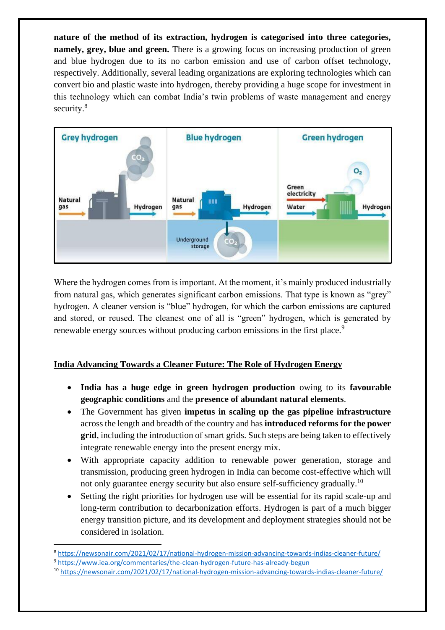**nature of the method of its extraction, hydrogen is categorised into three categories, namely, grey, blue and green.** There is a growing focus on increasing production of green and blue hydrogen due to its no carbon emission and use of carbon offset technology, respectively. Additionally, several leading organizations are exploring technologies which can convert bio and plastic waste into hydrogen, thereby providing a huge scope for investment in this technology which can combat India's twin problems of waste management and energy security.<sup>8</sup>



Where the hydrogen comes from is important. At the moment, it's mainly produced industrially from natural gas, which generates significant carbon emissions. That type is known as "grey" hydrogen. A cleaner version is "blue" hydrogen, for which the carbon emissions are captured and stored, or reused. The cleanest one of all is "green" hydrogen, which is generated by renewable energy sources without producing carbon emissions in the first place.<sup>9</sup>

## **India Advancing Towards a Cleaner Future: The Role of Hydrogen Energy**

- **India has a huge edge in green hydrogen production** owing to its **favourable geographic conditions** and the **presence of abundant natural elements**.
- The Government has given **impetus in scaling up the gas pipeline infrastructure** across the length and breadth of the country and has **introduced reforms for the power grid**, including the introduction of smart grids. Such steps are being taken to effectively integrate renewable energy into the present energy mix.
- With appropriate capacity addition to renewable power generation, storage and transmission, producing green hydrogen in India can become cost-effective which will not only guarantee energy security but also ensure self-sufficiency gradually.<sup>10</sup>
- Setting the right priorities for hydrogen use will be essential for its rapid scale-up and long-term contribution to decarbonization efforts. Hydrogen is part of a much bigger energy transition picture, and its development and deployment strategies should not be considered in isolation.
- <sup>8</sup> <https://newsonair.com/2021/02/17/national-hydrogen-mission-advancing-towards-indias-cleaner-future/> <sup>9</sup> <https://www.iea.org/commentaries/the-clean-hydrogen-future-has-already-begun>
- <sup>10</sup> <https://newsonair.com/2021/02/17/national-hydrogen-mission-advancing-towards-indias-cleaner-future/>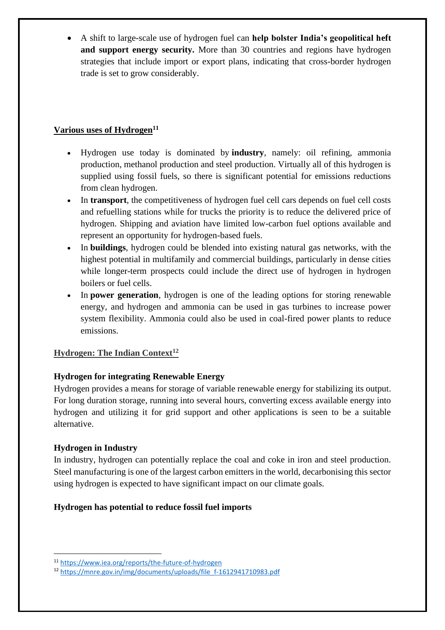• A shift to large-scale use of hydrogen fuel can **help bolster India's geopolitical heft and support energy security.** More than 30 countries and regions have hydrogen strategies that include import or export plans, indicating that cross-border hydrogen trade is set to grow considerably.

## **Various uses of Hydrogen<sup>11</sup>**

- Hydrogen use today is dominated by **industry**, namely: oil refining, ammonia production, methanol production and steel production. Virtually all of this hydrogen is supplied using fossil fuels, so there is significant potential for emissions reductions from clean hydrogen.
- In **transport**, the competitiveness of hydrogen fuel cell cars depends on fuel cell costs and refuelling stations while for trucks the priority is to reduce the delivered price of hydrogen. Shipping and aviation have limited low-carbon fuel options available and represent an opportunity for hydrogen-based fuels.
- In **buildings**, hydrogen could be blended into existing natural gas networks, with the highest potential in multifamily and commercial buildings, particularly in dense cities while longer-term prospects could include the direct use of hydrogen in hydrogen boilers or fuel cells.
- In **power generation**, hydrogen is one of the leading options for storing renewable energy, and hydrogen and ammonia can be used in gas turbines to increase power system flexibility. Ammonia could also be used in coal-fired power plants to reduce emissions.

## **Hydrogen: The Indian Context<sup>12</sup>**

## **Hydrogen for integrating Renewable Energy**

Hydrogen provides a means for storage of variable renewable energy for stabilizing its output. For long duration storage, running into several hours, converting excess available energy into hydrogen and utilizing it for grid support and other applications is seen to be a suitable alternative.

#### **Hydrogen in Industry**

In industry, hydrogen can potentially replace the coal and coke in iron and steel production. Steel manufacturing is one of the largest carbon emitters in the world, decarbonising this sector using hydrogen is expected to have significant impact on our climate goals.

#### **Hydrogen has potential to reduce fossil fuel imports**

<sup>11</sup> <https://www.iea.org/reports/the-future-of-hydrogen>

<sup>12</sup> [https://mnre.gov.in/img/documents/uploads/file\\_f-1612941710983.pdf](https://mnre.gov.in/img/documents/uploads/file_f-1612941710983.pdf)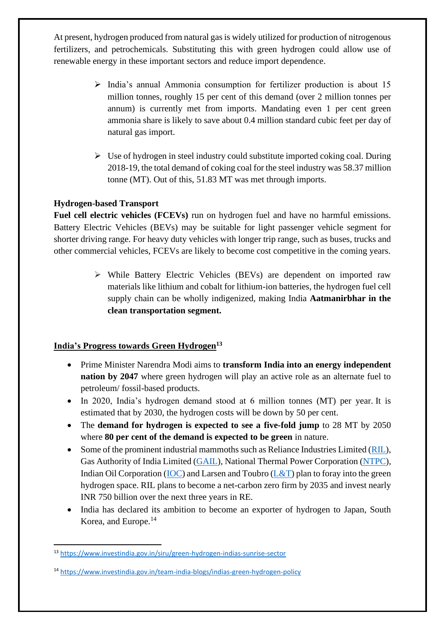At present, hydrogen produced from natural gas is widely utilized for production of nitrogenous fertilizers, and petrochemicals. Substituting this with green hydrogen could allow use of renewable energy in these important sectors and reduce import dependence.

- ➢ India's annual Ammonia consumption for fertilizer production is about 15 million tonnes, roughly 15 per cent of this demand (over 2 million tonnes per annum) is currently met from imports. Mandating even 1 per cent green ammonia share is likely to save about 0.4 million standard cubic feet per day of natural gas import.
- ➢ Use of hydrogen in steel industry could substitute imported coking coal. During 2018-19, the total demand of coking coal for the steel industry was 58.37 million tonne (MT). Out of this, 51.83 MT was met through imports.

## **Hydrogen-based Transport**

**Fuel cell electric vehicles (FCEVs)** run on hydrogen fuel and have no harmful emissions. Battery Electric Vehicles (BEVs) may be suitable for light passenger vehicle segment for shorter driving range. For heavy duty vehicles with longer trip range, such as buses, trucks and other commercial vehicles, FCEVs are likely to become cost competitive in the coming years.

> ➢ While Battery Electric Vehicles (BEVs) are dependent on imported raw materials like lithium and cobalt for lithium-ion batteries, the hydrogen fuel cell supply chain can be wholly indigenized, making India **Aatmanirbhar in the clean transportation segment.**

## **India's Progress towards Green Hydrogen<sup>13</sup>**

- Prime Minister Narendra Modi aims to **transform India into an energy independent nation by 2047** where green hydrogen will play an active role as an alternate fuel to petroleum/ fossil-based products.
- In 2020, India's hydrogen demand stood at 6 million tonnes (MT) per year. It is estimated that by 2030, the hydrogen costs will be down by 50 per cent.
- The **demand for hydrogen is expected to see a five-fold jump** to 28 MT by 2050 where **80 per cent of the demand is expected to be green** in nature.
- Some of the prominent industrial mammoths such as Reliance Industries Limited [\(RIL\)](http://www.ril.com/), Gas Authority of India Limited [\(GAIL\)](https://gailonline.com/), National Thermal Power Corporation [\(NTPC\)](https://www.ntpc.co.in/), Indian Oil Corporation [\(IOC\)](https://iocl.com/) and Larsen and Toubro ( $L&T$ ) plan to foray into the green hydrogen space. RIL plans to become a net-carbon zero firm by 2035 and invest nearly INR 750 billion over the next three years in RE.
- India has declared its ambition to become an exporter of hydrogen to Japan, South Korea, and Europe.<sup>14</sup>

<sup>13</sup> <https://www.investindia.gov.in/siru/green-hydrogen-indias-sunrise-sector>

<sup>14</sup> <https://www.investindia.gov.in/team-india-blogs/indias-green-hydrogen-policy>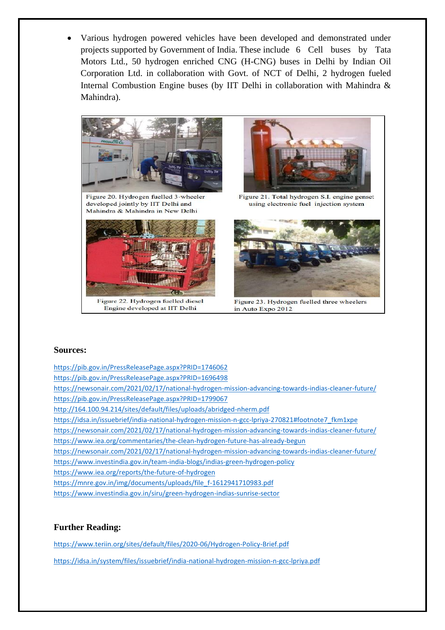• Various hydrogen powered vehicles have been developed and demonstrated under projects supported by Government of India. These include 6 Cell buses by Tata Motors Ltd., 50 hydrogen enriched CNG (H-CNG) buses in Delhi by Indian Oil Corporation Ltd. in collaboration with Govt. of NCT of Delhi, 2 hydrogen fueled Internal Combustion Engine buses (by IIT Delhi in collaboration with Mahindra & Mahindra).



Figure 20. Hydrogen fuelled 3-wheeler developed jointly by IIT Delhi and Mahindra & Mahindra in New Delhi



Figure 22. Hydrogen fuelled diesel Engine developed at IIT Delhi



Figure 21. Total hydrogen S.I. engine genset using electronic fuel injection system



Figure 23. Hydrogen fuelled three wheelers in Auto Expo 2012

#### **Sources:**

<https://pib.gov.in/PressReleasePage.aspx?PRID=1746062>

<https://pib.gov.in/PressReleasePage.aspx?PRID=1696498>

<https://newsonair.com/2021/02/17/national-hydrogen-mission-advancing-towards-indias-cleaner-future/> <https://pib.gov.in/PressReleasePage.aspx?PRID=1799067>

<http://164.100.94.214/sites/default/files/uploads/abridged-nherm.pdf>

[https://idsa.in/issuebrief/india-national-hydrogen-mission-n-gcc-lpriya-270821#footnote7\\_fkm1xpe](https://idsa.in/issuebrief/india-national-hydrogen-mission-n-gcc-lpriya-270821#footnote7_fkm1xpe)

<https://newsonair.com/2021/02/17/national-hydrogen-mission-advancing-towards-indias-cleaner-future/> <https://www.iea.org/commentaries/the-clean-hydrogen-future-has-already-begun>

<https://newsonair.com/2021/02/17/national-hydrogen-mission-advancing-towards-indias-cleaner-future/>

<https://www.investindia.gov.in/team-india-blogs/indias-green-hydrogen-policy>

<https://www.iea.org/reports/the-future-of-hydrogen>

[https://mnre.gov.in/img/documents/uploads/file\\_f-1612941710983.pdf](https://mnre.gov.in/img/documents/uploads/file_f-1612941710983.pdf)

<https://www.investindia.gov.in/siru/green-hydrogen-indias-sunrise-sector>

#### **Further Reading:**

<https://www.teriin.org/sites/default/files/2020-06/Hydrogen-Policy-Brief.pdf>

<https://idsa.in/system/files/issuebrief/india-national-hydrogen-mission-n-gcc-lpriya.pdf>